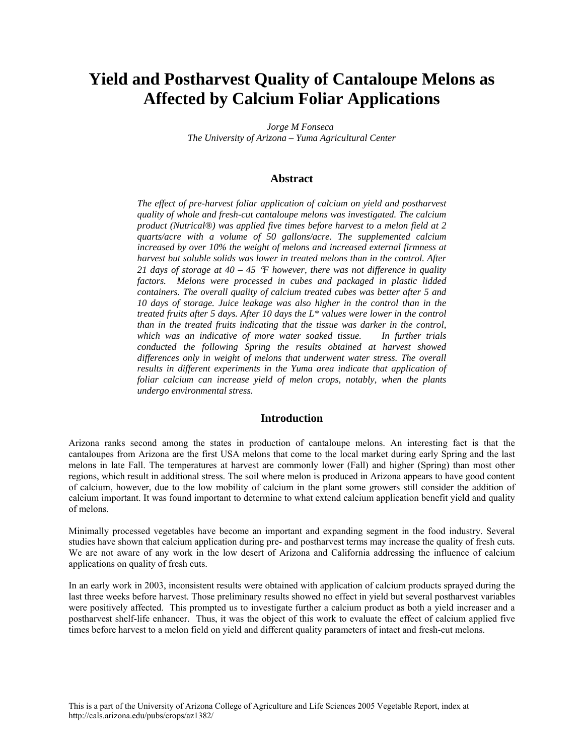# **Yield and Postharvest Quality of Cantaloupe Melons as Affected by Calcium Foliar Applications**

*Jorge M Fonseca The University of Arizona – Yuma Agricultural Center*

## **Abstract**

*The effect of pre-harvest foliar application of calcium on yield and postharvest quality of whole and fresh-cut cantaloupe melons was investigated. The calcium product (Nutrical®) was applied five times before harvest to a melon field at 2 quarts/acre with a volume of 50 gallons/acre. The supplemented calcium increased by over 10% the weight of melons and increased external firmness at harvest but soluble solids was lower in treated melons than in the control. After 21 days of storage at 40 – 45* °*F however, there was not difference in quality factors. Melons were processed in cubes and packaged in plastic lidded containers. The overall quality of calcium treated cubes was better after 5 and 10 days of storage. Juice leakage was also higher in the control than in the treated fruits after 5 days. After 10 days the L\* values were lower in the control than in the treated fruits indicating that the tissue was darker in the control, which was an indicative of more water soaked tissue. In further trials conducted the following Spring the results obtained at harvest showed differences only in weight of melons that underwent water stress. The overall results in different experiments in the Yuma area indicate that application of foliar calcium can increase yield of melon crops, notably, when the plants undergo environmental stress.* 

### **Introduction**

Arizona ranks second among the states in production of cantaloupe melons. An interesting fact is that the cantaloupes from Arizona are the first USA melons that come to the local market during early Spring and the last melons in late Fall. The temperatures at harvest are commonly lower (Fall) and higher (Spring) than most other regions, which result in additional stress. The soil where melon is produced in Arizona appears to have good content of calcium, however, due to the low mobility of calcium in the plant some growers still consider the addition of calcium important. It was found important to determine to what extend calcium application benefit yield and quality of melons.

Minimally processed vegetables have become an important and expanding segment in the food industry. Several studies have shown that calcium application during pre- and postharvest terms may increase the quality of fresh cuts. We are not aware of any work in the low desert of Arizona and California addressing the influence of calcium applications on quality of fresh cuts.

In an early work in 2003, inconsistent results were obtained with application of calcium products sprayed during the last three weeks before harvest. Those preliminary results showed no effect in yield but several postharvest variables were positively affected. This prompted us to investigate further a calcium product as both a yield increaser and a postharvest shelf-life enhancer. Thus, it was the object of this work to evaluate the effect of calcium applied five times before harvest to a melon field on yield and different quality parameters of intact and fresh-cut melons.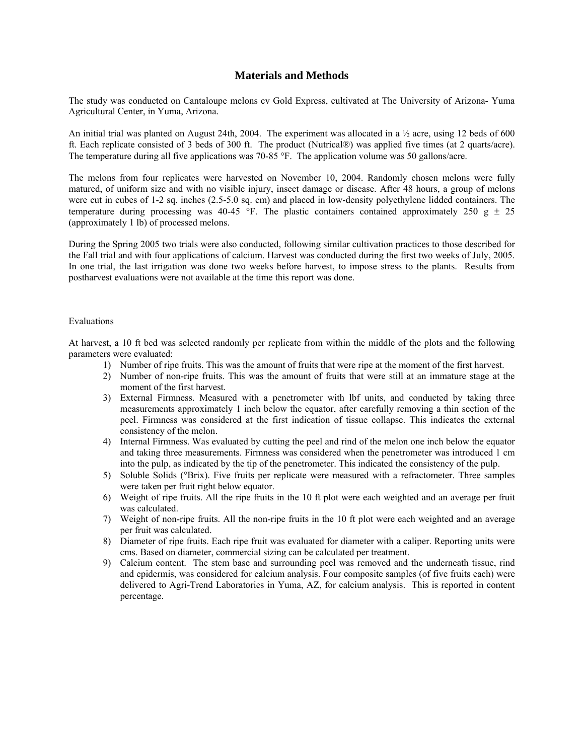# **Materials and Methods**

The study was conducted on Cantaloupe melons cv Gold Express, cultivated at The University of Arizona- Yuma Agricultural Center, in Yuma, Arizona.

An initial trial was planted on August 24th, 2004. The experiment was allocated in a  $\frac{1}{2}$  acre, using 12 beds of 600 ft. Each replicate consisted of 3 beds of 300 ft. The product (Nutrical®) was applied five times (at 2 quarts/acre). The temperature during all five applications was 70-85 °F. The application volume was 50 gallons/acre.

The melons from four replicates were harvested on November 10, 2004. Randomly chosen melons were fully matured, of uniform size and with no visible injury, insect damage or disease. After 48 hours, a group of melons were cut in cubes of 1-2 sq. inches (2.5-5.0 sq. cm) and placed in low-density polyethylene lidded containers. The temperature during processing was 40-45 °F. The plastic containers contained approximately 250  $g \pm 25$ (approximately 1 lb) of processed melons.

During the Spring 2005 two trials were also conducted, following similar cultivation practices to those described for the Fall trial and with four applications of calcium. Harvest was conducted during the first two weeks of July, 2005. In one trial, the last irrigation was done two weeks before harvest, to impose stress to the plants. Results from postharvest evaluations were not available at the time this report was done.

#### Evaluations

At harvest, a 10 ft bed was selected randomly per replicate from within the middle of the plots and the following parameters were evaluated:

- 1) Number of ripe fruits. This was the amount of fruits that were ripe at the moment of the first harvest.
- 2) Number of non-ripe fruits. This was the amount of fruits that were still at an immature stage at the moment of the first harvest.
- 3) External Firmness. Measured with a penetrometer with lbf units, and conducted by taking three measurements approximately 1 inch below the equator, after carefully removing a thin section of the peel. Firmness was considered at the first indication of tissue collapse. This indicates the external consistency of the melon.
- 4) Internal Firmness. Was evaluated by cutting the peel and rind of the melon one inch below the equator and taking three measurements. Firmness was considered when the penetrometer was introduced 1 cm into the pulp, as indicated by the tip of the penetrometer. This indicated the consistency of the pulp.
- 5) Soluble Solids (°Brix). Five fruits per replicate were measured with a refractometer. Three samples were taken per fruit right below equator.
- 6) Weight of ripe fruits. All the ripe fruits in the 10 ft plot were each weighted and an average per fruit was calculated.
- 7) Weight of non-ripe fruits. All the non-ripe fruits in the 10 ft plot were each weighted and an average per fruit was calculated.
- 8) Diameter of ripe fruits. Each ripe fruit was evaluated for diameter with a caliper. Reporting units were cms. Based on diameter, commercial sizing can be calculated per treatment.
- 9) Calcium content. The stem base and surrounding peel was removed and the underneath tissue, rind and epidermis, was considered for calcium analysis. Four composite samples (of five fruits each) were delivered to Agri-Trend Laboratories in Yuma, AZ, for calcium analysis. This is reported in content percentage.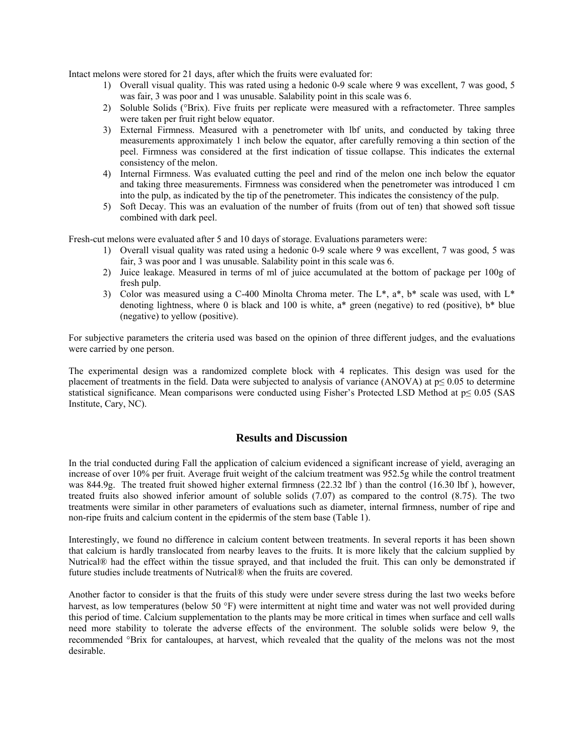Intact melons were stored for 21 days, after which the fruits were evaluated for:

- 1) Overall visual quality. This was rated using a hedonic 0-9 scale where 9 was excellent, 7 was good, 5 was fair, 3 was poor and 1 was unusable. Salability point in this scale was 6.
- 2) Soluble Solids (°Brix). Five fruits per replicate were measured with a refractometer. Three samples were taken per fruit right below equator.
- 3) External Firmness. Measured with a penetrometer with lbf units, and conducted by taking three measurements approximately 1 inch below the equator, after carefully removing a thin section of the peel. Firmness was considered at the first indication of tissue collapse. This indicates the external consistency of the melon.
- 4) Internal Firmness. Was evaluated cutting the peel and rind of the melon one inch below the equator and taking three measurements. Firmness was considered when the penetrometer was introduced 1 cm into the pulp, as indicated by the tip of the penetrometer. This indicates the consistency of the pulp.
- 5) Soft Decay. This was an evaluation of the number of fruits (from out of ten) that showed soft tissue combined with dark peel.

Fresh-cut melons were evaluated after 5 and 10 days of storage. Evaluations parameters were:

- 1) Overall visual quality was rated using a hedonic 0-9 scale where 9 was excellent, 7 was good, 5 was fair, 3 was poor and 1 was unusable. Salability point in this scale was 6.
- 2) Juice leakage. Measured in terms of ml of juice accumulated at the bottom of package per 100g of fresh pulp.
- 3) Color was measured using a C-400 Minolta Chroma meter. The L\*, a\*, b\* scale was used, with L\* denoting lightness, where 0 is black and 100 is white,  $a^*$  green (negative) to red (positive),  $b^*$  blue (negative) to yellow (positive).

For subjective parameters the criteria used was based on the opinion of three different judges, and the evaluations were carried by one person.

The experimental design was a randomized complete block with 4 replicates. This design was used for the placement of treatments in the field. Data were subjected to analysis of variance (ANOVA) at  $p \le 0.05$  to determine statistical significance. Mean comparisons were conducted using Fisher's Protected LSD Method at p≤ 0.05 (SAS Institute, Cary, NC).

# **Results and Discussion**

In the trial conducted during Fall the application of calcium evidenced a significant increase of yield, averaging an increase of over 10% per fruit. Average fruit weight of the calcium treatment was 952.5g while the control treatment was 844.9g. The treated fruit showed higher external firmness (22.32 lbf ) than the control (16.30 lbf ), however, treated fruits also showed inferior amount of soluble solids (7.07) as compared to the control (8.75). The two treatments were similar in other parameters of evaluations such as diameter, internal firmness, number of ripe and non-ripe fruits and calcium content in the epidermis of the stem base (Table 1).

Interestingly, we found no difference in calcium content between treatments. In several reports it has been shown that calcium is hardly translocated from nearby leaves to the fruits. It is more likely that the calcium supplied by Nutrical® had the effect within the tissue sprayed, and that included the fruit. This can only be demonstrated if future studies include treatments of Nutrical® when the fruits are covered.

Another factor to consider is that the fruits of this study were under severe stress during the last two weeks before harvest, as low temperatures (below 50 °F) were intermittent at night time and water was not well provided during this period of time. Calcium supplementation to the plants may be more critical in times when surface and cell walls need more stability to tolerate the adverse effects of the environment. The soluble solids were below 9, the recommended °Brix for cantaloupes, at harvest, which revealed that the quality of the melons was not the most desirable.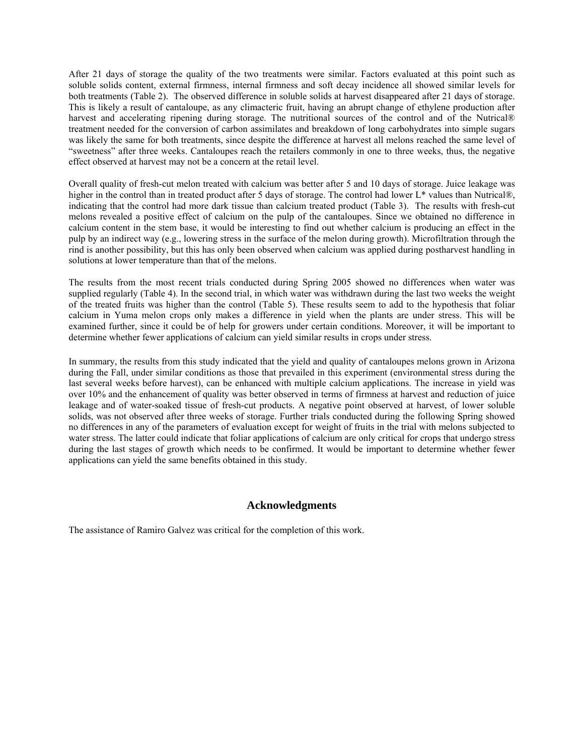After 21 days of storage the quality of the two treatments were similar. Factors evaluated at this point such as soluble solids content, external firmness, internal firmness and soft decay incidence all showed similar levels for both treatments (Table 2). The observed difference in soluble solids at harvest disappeared after 21 days of storage. This is likely a result of cantaloupe, as any climacteric fruit, having an abrupt change of ethylene production after harvest and accelerating ripening during storage. The nutritional sources of the control and of the Nutrical® treatment needed for the conversion of carbon assimilates and breakdown of long carbohydrates into simple sugars was likely the same for both treatments, since despite the difference at harvest all melons reached the same level of "sweetness" after three weeks. Cantaloupes reach the retailers commonly in one to three weeks, thus, the negative effect observed at harvest may not be a concern at the retail level.

Overall quality of fresh-cut melon treated with calcium was better after 5 and 10 days of storage. Juice leakage was higher in the control than in treated product after 5 days of storage. The control had lower L<sup>\*</sup> values than Nutrical®, indicating that the control had more dark tissue than calcium treated product (Table 3). The results with fresh-cut melons revealed a positive effect of calcium on the pulp of the cantaloupes. Since we obtained no difference in calcium content in the stem base, it would be interesting to find out whether calcium is producing an effect in the pulp by an indirect way (e.g., lowering stress in the surface of the melon during growth). Microfiltration through the rind is another possibility, but this has only been observed when calcium was applied during postharvest handling in solutions at lower temperature than that of the melons.

The results from the most recent trials conducted during Spring 2005 showed no differences when water was supplied regularly (Table 4). In the second trial, in which water was withdrawn during the last two weeks the weight of the treated fruits was higher than the control (Table 5). These results seem to add to the hypothesis that foliar calcium in Yuma melon crops only makes a difference in yield when the plants are under stress. This will be examined further, since it could be of help for growers under certain conditions. Moreover, it will be important to determine whether fewer applications of calcium can yield similar results in crops under stress.

In summary, the results from this study indicated that the yield and quality of cantaloupes melons grown in Arizona during the Fall, under similar conditions as those that prevailed in this experiment (environmental stress during the last several weeks before harvest), can be enhanced with multiple calcium applications. The increase in yield was over 10% and the enhancement of quality was better observed in terms of firmness at harvest and reduction of juice leakage and of water-soaked tissue of fresh-cut products. A negative point observed at harvest, of lower soluble solids, was not observed after three weeks of storage. Further trials conducted during the following Spring showed no differences in any of the parameters of evaluation except for weight of fruits in the trial with melons subjected to water stress. The latter could indicate that foliar applications of calcium are only critical for crops that undergo stress during the last stages of growth which needs to be confirmed. It would be important to determine whether fewer applications can yield the same benefits obtained in this study.

# **Acknowledgments**

The assistance of Ramiro Galvez was critical for the completion of this work.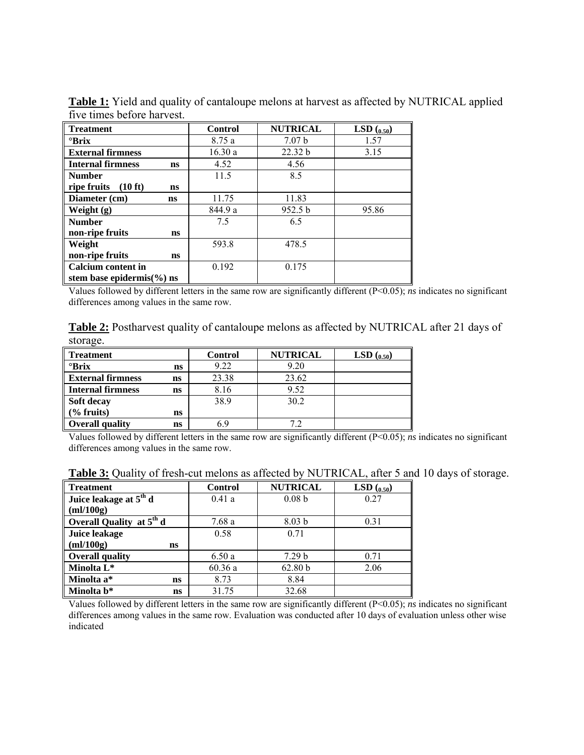| <b>Treatment</b>                                  | <b>Control</b> | <b>NUTRICAL</b>    | <b>LSD</b> $(0.50)$ |
|---------------------------------------------------|----------------|--------------------|---------------------|
| $\mathrm{Prix}$                                   | 8.75 a         | 7.07 <sub>b</sub>  | 1.57                |
| <b>External firmness</b>                          | 16.30a         | 22.32 b            | 3.15                |
| <b>Internal firmness</b><br>ns                    | 4.52           | 4.56               |                     |
| <b>Number</b>                                     | 11.5           | 8.5                |                     |
| ripe fruits<br>$(10 \text{ ft})$<br>ns            |                |                    |                     |
| Diameter (cm)<br>ns                               | 11.75          | 11.83              |                     |
| Weight (g)                                        | 844.9 a        | 952.5 <sub>b</sub> | 95.86               |
| <b>Number</b>                                     | 7.5            | 6.5                |                     |
| non-ripe fruits<br>ns                             |                |                    |                     |
| Weight                                            | 593.8          | 478.5              |                     |
| non-ripe fruits<br>ns                             |                |                    |                     |
| <b>Calcium</b> content in                         | 0.192          | 0.175              |                     |
| stem base epidermis $\left(\frac{9}{0}\right)$ ns |                |                    |                     |

**Table 1:** Yield and quality of cantaloupe melons at harvest as affected by NUTRICAL applied five times before harvest.

Values followed by different letters in the same row are significantly different (P<0.05); *ns* indicates no significant differences among values in the same row.

**Table 2:** Postharvest quality of cantaloupe melons as affected by NUTRICAL after 21 days of storage.

| <b>Treatment</b>         |    | <b>Control</b> | <b>NUTRICAL</b> | LSD $_{(0.50)}$ |
|--------------------------|----|----------------|-----------------|-----------------|
| $\mathrm{Pr}$ ix         | ns | 9.22           | 9.20            |                 |
| <b>External firmness</b> | ns | 23.38          | 23.62           |                 |
| <b>Internal firmness</b> | ns | 8.16           | 9.52            |                 |
| Soft decay               |    | 38.9           | 30.2            |                 |
| $\frac{6}{6}$ fruits)    | ns |                |                 |                 |
| <b>Overall quality</b>   | ns | 6 Y            | 79              |                 |

Values followed by different letters in the same row are significantly different (P<0.05); *ns* indicates no significant differences among values in the same row.

| Table 3: Quality of fresh-cut melons as affected by NUTRICAL, after 5 and 10 days of storage. |  |  |  |
|-----------------------------------------------------------------------------------------------|--|--|--|
|                                                                                               |  |  |  |

| <b>Treatment</b>                     | <b>Control</b> | <b>NUTRICAL</b>   | <b>LSD</b> $(0.50)$ |
|--------------------------------------|----------------|-------------------|---------------------|
| Juice leakage at 5 <sup>th</sup> d   | 0.41a          | 0.08 <sub>b</sub> | 0.27                |
| m!/100g                              |                |                   |                     |
| Overall Quality at 5 <sup>th</sup> d | 7.68a          | 8.03 <sub>b</sub> | 0.31                |
| <b>Juice leakage</b>                 | 0.58           | 0.71              |                     |
| m!/100g<br>ns                        |                |                   |                     |
| <b>Overall quality</b>               | 6.50a          | 7.29 <sub>b</sub> | 0.71                |
| Minolta L*                           | 60.36a         | 62.80 b           | 2.06                |
| Minolta a*<br>ns                     | 8.73           | 8.84              |                     |
| Minolta b*<br>ns                     | 31.75          | 32.68             |                     |

Values followed by different letters in the same row are significantly different (P<0.05); *ns* indicates no significant differences among values in the same row. Evaluation was conducted after 10 days of evaluation unless other wise indicated